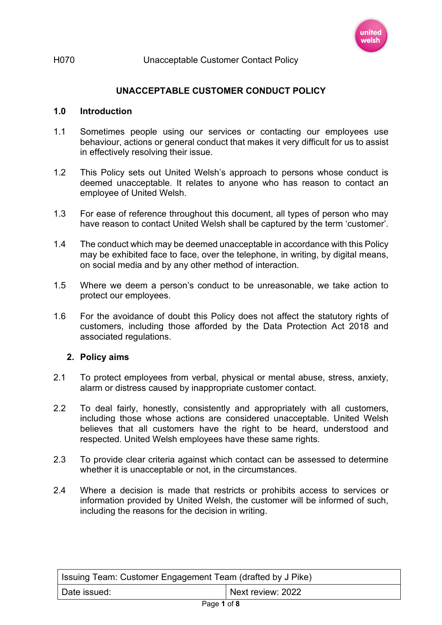

## **UNACCEPTABLE CUSTOMER CONDUCT POLICY**

### **1.0 Introduction**

- 1.1 Sometimes people using our services or contacting our employees use behaviour, actions or general conduct that makes it very difficult for us to assist in effectively resolving their issue.
- 1.2 This Policy sets out United Welsh's approach to persons whose conduct is deemed unacceptable. It relates to anyone who has reason to contact an employee of United Welsh.
- 1.3 For ease of reference throughout this document, all types of person who may have reason to contact United Welsh shall be captured by the term 'customer'.
- 1.4 The conduct which may be deemed unacceptable in accordance with this Policy may be exhibited face to face, over the telephone, in writing, by digital means, on social media and by any other method of interaction.
- 1.5 Where we deem a person's conduct to be unreasonable, we take action to protect our employees.
- 1.6 For the avoidance of doubt this Policy does not affect the statutory rights of customers, including those afforded by the Data Protection Act 2018 and associated regulations.

### **2. Policy aims**

- 2.1 To protect employees from verbal, physical or mental abuse, stress, anxiety, alarm or distress caused by inappropriate customer contact.
- 2.2 To deal fairly, honestly, consistently and appropriately with all customers, including those whose actions are considered unacceptable. United Welsh believes that all customers have the right to be heard, understood and respected. United Welsh employees have these same rights.
- 2.3 To provide clear criteria against which contact can be assessed to determine whether it is unacceptable or not, in the circumstances.
- 2.4 Where a decision is made that restricts or prohibits access to services or information provided by United Welsh, the customer will be informed of such, including the reasons for the decision in writing.

| <b>Solution</b> Seam: Customer Engagement Team (drafted by J Pike) |                   |
|--------------------------------------------------------------------|-------------------|
| Date issued:                                                       | Next review: 2022 |
| $P2$ ne 1 of 8                                                     |                   |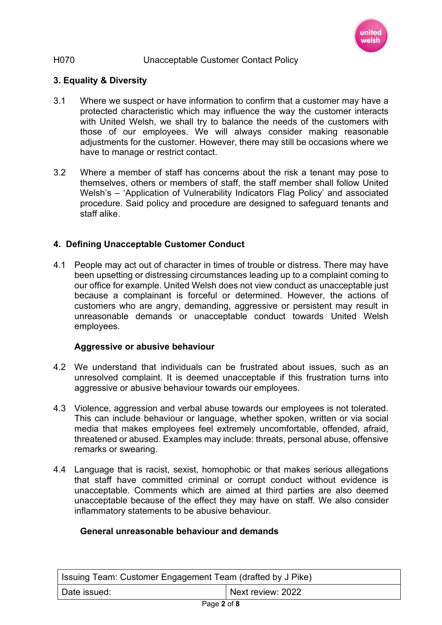

## **3. Equality & Diversity**

- 3.1 Where we suspect or have information to confirm that a customer may have a protected characteristic which may influence the way the customer interacts with United Welsh, we shall try to balance the needs of the customers with those of our employees. We will always consider making reasonable adjustments for the customer. However, there may still be occasions where we have to manage or restrict contact.
- 3.2 Where a member of staff has concerns about the risk a tenant may pose to themselves, others or members of staff, the staff member shall follow United Welsh's – 'Application of Vulnerability Indicators Flag Policy' and associated procedure. Said policy and procedure are designed to safeguard tenants and staff alike.

## **4. Defining Unacceptable Customer Conduct**

4.1 People may act out of character in times of trouble or distress. There may have been upsetting or distressing circumstances leading up to a complaint coming to our office for example. United Welsh does not view conduct as unacceptable just because a complainant is forceful or determined. However, the actions of customers who are angry, demanding, aggressive or persistent may result in unreasonable demands or unacceptable conduct towards United Welsh employees.

### **Aggressive or abusive behaviour**

- 4.2 We understand that individuals can be frustrated about issues, such as an unresolved complaint. It is deemed unacceptable if this frustration turns into aggressive or abusive behaviour towards our employees.
- 4.3 Violence, aggression and verbal abuse towards our employees is not tolerated. This can include behaviour or language, whether spoken, written or via social media that makes employees feel extremely uncomfortable, offended, afraid, threatened or abused. Examples may include: threats, personal abuse, offensive remarks or swearing.
- 4.4 Language that is racist, sexist, homophobic or that makes serious allegations that staff have committed criminal or corrupt conduct without evidence is unacceptable. Comments which are aimed at third parties are also deemed unacceptable because of the effect they may have on staff. We also consider inflammatory statements to be abusive behaviour.

### **General unreasonable behaviour and demands**

| <sup>≀</sup> Issuing Team: Customer Engagement Team (drafted by J Pike) |                   |
|-------------------------------------------------------------------------|-------------------|
| l Date issued: l                                                        | Next review: 2022 |
| $D = 0$                                                                 |                   |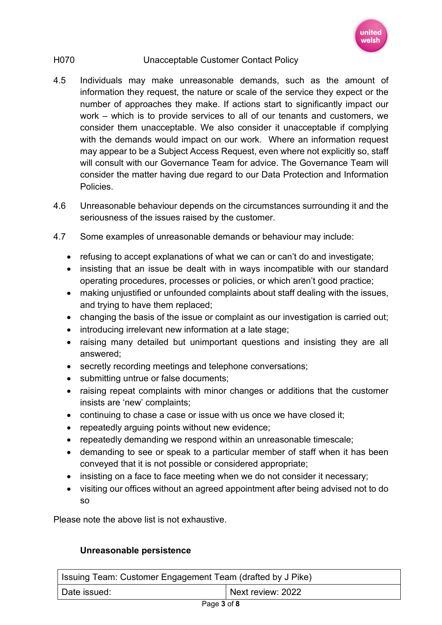

- 4.5 Individuals may make unreasonable demands, such as the amount of information they request, the nature or scale of the service they expect or the number of approaches they make. If actions start to significantly impact our work – which is to provide services to all of our tenants and customers, we consider them unacceptable. We also consider it unacceptable if complying with the demands would impact on our work. Where an information request may appear to be a Subject Access Request, even where not explicitly so, staff will consult with our Governance Team for advice. The Governance Team will consider the matter having due regard to our Data Protection and Information Policies.
- 4.6 Unreasonable behaviour depends on the circumstances surrounding it and the seriousness of the issues raised by the customer.
- 4.7 Some examples of unreasonable demands or behaviour may include:
	- refusing to accept explanations of what we can or can't do and investigate;
	- insisting that an issue be dealt with in ways incompatible with our standard operating procedures, processes or policies, or which aren't good practice;
	- making unjustified or unfounded complaints about staff dealing with the issues, and trying to have them replaced;
	- changing the basis of the issue or complaint as our investigation is carried out;
	- introducing irrelevant new information at a late stage;
	- raising many detailed but unimportant questions and insisting they are all answered;
	- secretly recording meetings and telephone conversations;
	- submitting untrue or false documents;
	- raising repeat complaints with minor changes or additions that the customer insists are 'new' complaints;
	- continuing to chase a case or issue with us once we have closed it;
	- repeatedly arguing points without new evidence;
	- repeatedly demanding we respond within an unreasonable timescale;
	- demanding to see or speak to a particular member of staff when it has been conveyed that it is not possible or considered appropriate;
	- insisting on a face to face meeting when we do not consider it necessary;
	- visiting our offices without an agreed appointment after being advised not to do so

Please note the above list is not exhaustive.

# **Unreasonable persistence**

| Issuing Team: Customer Engagement Team (drafted by J Pike) |                   |
|------------------------------------------------------------|-------------------|
| Date issued:                                               | Next review: 2022 |
| .                                                          |                   |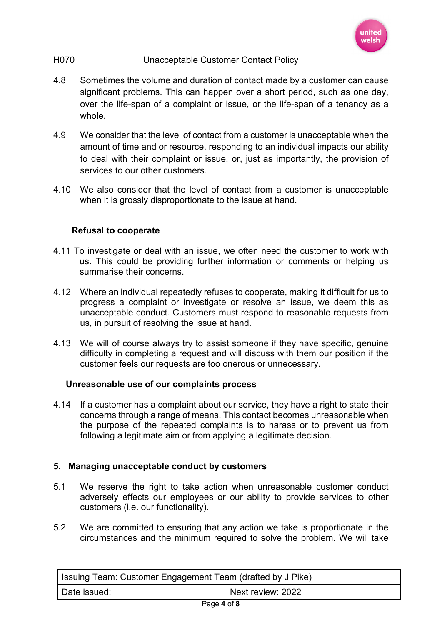

- 4.8 Sometimes the volume and duration of contact made by a customer can cause significant problems. This can happen over a short period, such as one day, over the life-span of a complaint or issue, or the life-span of a tenancy as a whole.
- 4.9 We consider that the level of contact from a customer is unacceptable when the amount of time and or resource, responding to an individual impacts our ability to deal with their complaint or issue, or, just as importantly, the provision of services to our other customers.
- 4.10 We also consider that the level of contact from a customer is unacceptable when it is grossly disproportionate to the issue at hand.

# **Refusal to cooperate**

- 4.11 To investigate or deal with an issue, we often need the customer to work with us. This could be providing further information or comments or helping us summarise their concerns.
- 4.12 Where an individual repeatedly refuses to cooperate, making it difficult for us to progress a complaint or investigate or resolve an issue, we deem this as unacceptable conduct. Customers must respond to reasonable requests from us, in pursuit of resolving the issue at hand.
- 4.13 We will of course always try to assist someone if they have specific, genuine difficulty in completing a request and will discuss with them our position if the customer feels our requests are too onerous or unnecessary.

## **Unreasonable use of our complaints process**

4.14 If a customer has a complaint about our service, they have a right to state their concerns through a range of means. This contact becomes unreasonable when the purpose of the repeated complaints is to harass or to prevent us from following a legitimate aim or from applying a legitimate decision.

## **5. Managing unacceptable conduct by customers**

- 5.1 We reserve the right to take action when unreasonable customer conduct adversely effects our employees or our ability to provide services to other customers (i.e. our functionality).
- 5.2 We are committed to ensuring that any action we take is proportionate in the circumstances and the minimum required to solve the problem. We will take

| Sissuing Team: Customer Engagement Team (drafted by J Pike) |                   |
|-------------------------------------------------------------|-------------------|
| Date issued:                                                | Next review: 2022 |
| <b>D.C. 4.0</b>                                             |                   |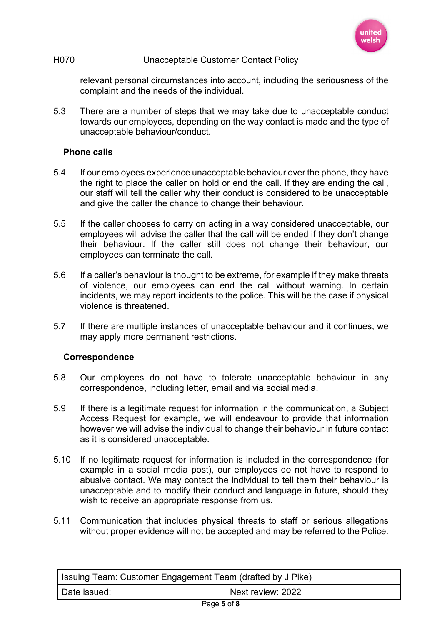

relevant personal circumstances into account, including the seriousness of the complaint and the needs of the individual.

5.3 There are a number of steps that we may take due to unacceptable conduct towards our employees, depending on the way contact is made and the type of unacceptable behaviour/conduct.

### **Phone calls**

- 5.4 If our employees experience unacceptable behaviour over the phone, they have the right to place the caller on hold or end the call. If they are ending the call, our staff will tell the caller why their conduct is considered to be unacceptable and give the caller the chance to change their behaviour.
- 5.5 If the caller chooses to carry on acting in a way considered unacceptable, our employees will advise the caller that the call will be ended if they don't change their behaviour. If the caller still does not change their behaviour, our employees can terminate the call.
- 5.6 If a caller's behaviour is thought to be extreme, for example if they make threats of violence, our employees can end the call without warning. In certain incidents, we may report incidents to the police. This will be the case if physical violence is threatened.
- 5.7 If there are multiple instances of unacceptable behaviour and it continues, we may apply more permanent restrictions.

### **Correspondence**

- 5.8 Our employees do not have to tolerate unacceptable behaviour in any correspondence, including letter, email and via social media.
- 5.9 If there is a legitimate request for information in the communication, a Subject Access Request for example, we will endeavour to provide that information however we will advise the individual to change their behaviour in future contact as it is considered unacceptable.
- 5.10 If no legitimate request for information is included in the correspondence (for example in a social media post), our employees do not have to respond to abusive contact. We may contact the individual to tell them their behaviour is unacceptable and to modify their conduct and language in future, should they wish to receive an appropriate response from us.
- 5.11 Communication that includes physical threats to staff or serious allegations without proper evidence will not be accepted and may be referred to the Police.

| Sitial Issuing Team: Customer Engagement Team (drafted by J Pike) |                   |
|-------------------------------------------------------------------|-------------------|
| Date issued:                                                      | Next review: 2022 |
| $D = -E - F$                                                      |                   |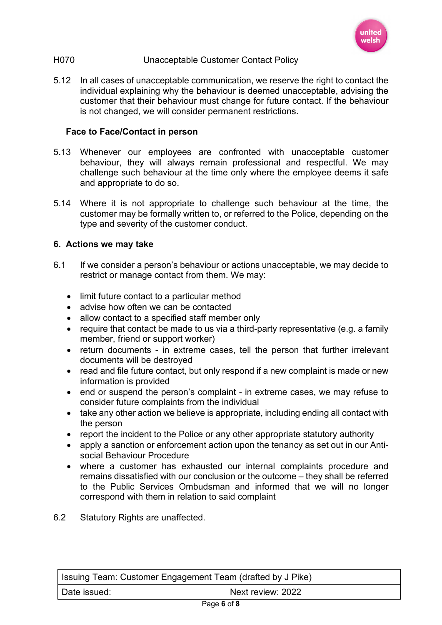

5.12 In all cases of unacceptable communication, we reserve the right to contact the individual explaining why the behaviour is deemed unacceptable, advising the customer that their behaviour must change for future contact. If the behaviour is not changed, we will consider permanent restrictions.

### **Face to Face/Contact in person**

- 5.13 Whenever our employees are confronted with unacceptable customer behaviour, they will always remain professional and respectful. We may challenge such behaviour at the time only where the employee deems it safe and appropriate to do so.
- 5.14 Where it is not appropriate to challenge such behaviour at the time, the customer may be formally written to, or referred to the Police, depending on the type and severity of the customer conduct.

### **6. Actions we may take**

- 6.1 If we consider a person's behaviour or actions unacceptable, we may decide to restrict or manage contact from them. We may:
	- limit future contact to a particular method
	- advise how often we can be contacted
	- allow contact to a specified staff member only
	- require that contact be made to us via a third-party representative (e.g. a family member, friend or support worker)
	- return documents in extreme cases, tell the person that further irrelevant documents will be destroyed
	- read and file future contact, but only respond if a new complaint is made or new information is provided
	- end or suspend the person's complaint in extreme cases, we may refuse to consider future complaints from the individual
	- take any other action we believe is appropriate, including ending all contact with the person
	- report the incident to the Police or any other appropriate statutory authority
	- apply a sanction or enforcement action upon the tenancy as set out in our Antisocial Behaviour Procedure
	- where a customer has exhausted our internal complaints procedure and remains dissatisfied with our conclusion or the outcome – they shall be referred to the Public Services Ombudsman and informed that we will no longer correspond with them in relation to said complaint
- 6.2 Statutory Rights are unaffected.

| Issuing Team: Customer Engagement Team (drafted by J Pike) |                   |
|------------------------------------------------------------|-------------------|
| Date issued:                                               | Next review: 2022 |
| $D = 0$                                                    |                   |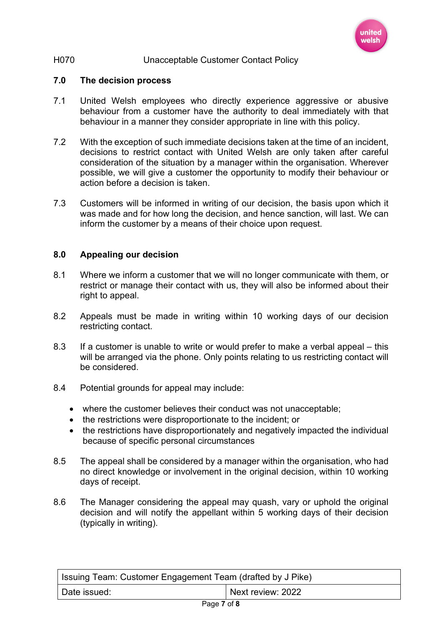

#### **7.0 The decision process**

- 7.1 United Welsh employees who directly experience aggressive or abusive behaviour from a customer have the authority to deal immediately with that behaviour in a manner they consider appropriate in line with this policy.
- 7.2 With the exception of such immediate decisions taken at the time of an incident, decisions to restrict contact with United Welsh are only taken after careful consideration of the situation by a manager within the organisation. Wherever possible, we will give a customer the opportunity to modify their behaviour or action before a decision is taken.
- 7.3 Customers will be informed in writing of our decision, the basis upon which it was made and for how long the decision, and hence sanction, will last. We can inform the customer by a means of their choice upon request.

### **8.0 Appealing our decision**

- 8.1 Where we inform a customer that we will no longer communicate with them, or restrict or manage their contact with us, they will also be informed about their right to appeal.
- 8.2 Appeals must be made in writing within 10 working days of our decision restricting contact.
- 8.3 If a customer is unable to write or would prefer to make a verbal appeal this will be arranged via the phone. Only points relating to us restricting contact will be considered.
- 8.4 Potential grounds for appeal may include:
	- where the customer believes their conduct was not unacceptable;
	- the restrictions were disproportionate to the incident; or
	- the restrictions have disproportionately and negatively impacted the individual because of specific personal circumstances
- 8.5 The appeal shall be considered by a manager within the organisation, who had no direct knowledge or involvement in the original decision, within 10 working days of receipt.
- 8.6 The Manager considering the appeal may quash, vary or uphold the original decision and will notify the appellant within 5 working days of their decision (typically in writing).

| Issuing Team: Customer Engagement Team (drafted by J Pike) |                   |
|------------------------------------------------------------|-------------------|
| Date issued:                                               | Next review: 2022 |
| $D = -27$                                                  |                   |